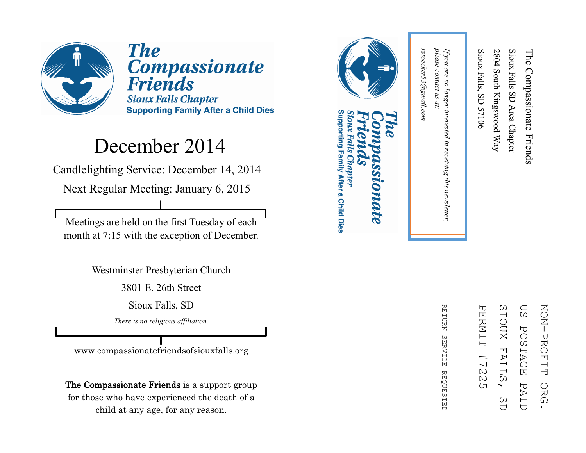

**The Compassionate Friends Sioux Falls Chapter Supporting Family After a Child Dies** 

#### December 2014

Candlelighting Service: December 14, 2014

Next Regular Meeting: January 6, 2015

Meetings are held on the first Tuesday of each month at 7:15 with the exception of December.

Westminster Presbyterian Church

3801 E. 26th Street

Sioux Falls, SD

*There is no religious affiliation.*

www.compassionatefriendsofsiouxfalls.org

The Compassionate Friends is a support group for those who have experienced the death of a child at any age, for any reason.



#### Supporting Family After a Child Dies Sioux Falls Chapter **LOMALE**



RETURN REFURN SERVICE REQUESTED **SERVICE REQUESTED** 

please contact us at: *please contact us at:*  rstoecker53@gmail.com *rstoecker53@gmail.com*

*If you are no longer interested in receiving this newsletter,* 

in receiving this newsletter,

If you are no longer interested

Sioux Falls, SD 57106

Sioux Falls, SD 57106

2804 South Kingswood Way

2804 South Kingswood Way

Sioux Falls SD Area Chapter

Sioux Falls SD Area Chapter

The Compassionate Friends

The Compassionate Friends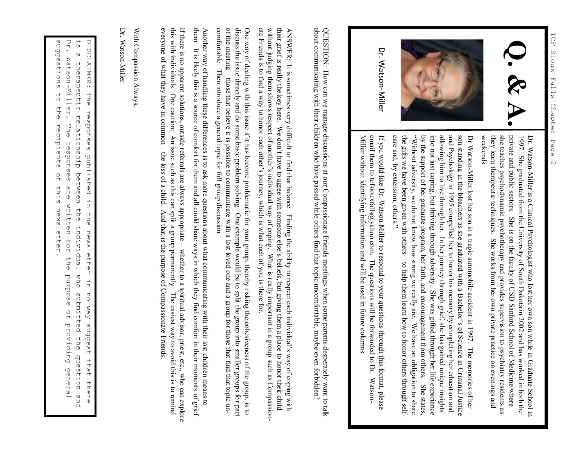

Dr. Watson-Miller

> Dr. WatsonDr. Watson-Miller is a Clinical Psychologist who lost her own son while in Graduate School in Miller is a Clinical Psychologist who lost her own son while in Graduate School in weekends. they learn therapeutic techniques. She works from her own private practice on evenings and she teaches psychodynamic psychotherapy and provides supervision to psychiatry residents as private and public sectors. She is on the faculty of USD Sanford School of Medicine where 1997. She graduated from the University of South Dakota in 2002 and has worked in both the private and public sectors. She is on the faculty of USD Sanford School of Medicine where she treaches psychodynamic psychotherapy

and Psychology in 1995 compelled her to honor his memory by completing her education and allowing him to live through her. In her journey through grief, she has gained unique insights into not just coping, but thriving th son standing in the bleachers as she graduated with a Bachelor's of Science by the support of her graduate program, her faith, and encouragement from others. She states, the gifts we have been given with others "Without adversity, we do not know how strong we really are. We have an obligation to share into not just coping, but thriving through adversity. She was gifted through her life experience allowing him to live through her. In her journey through grief, she has gained unique insights son standing in the bleachers as she graduated with a Bachelor's of Science in Criminal Justice Dr Watson in Criminal Justice

Miller without identifying information and will be used in future columns email them to tcfsiouxfalls@yahoo.com. The questions will be forwarded to Dr. Watson-If you would like Dr. Watson-Miller to respond to your questions through this format, please entan utein to teisiouxians@yanoo.com. The questions will be tot watued to DJ, Watson-<br>Miller without identifying information and will be used in future columns. email them to tcfsiouxfalls@yahoo.com. The questions will be forwarded to Dr. WatsonIf you would like Dr. WatsonMiller to respond to your questions through this format, please

about communicating with their children who have passed while others find that topic uncomfortable, maybe even forbidden? QUESTION: How can we manage discussions at our Compassionate Friends meetings when some parents desperately want to talk about communicating with their children who have passed while others find that topic uncomfortable, maybe even forbidden? QUESTION: How can we manage discussions at our Compassionate Friends meetings when some parents desperately want to talk

ate Friends is to find a way to honor each other's journey, which is what each of you is there for. without judging them shows respect of another's individual way of coping. What is really important in a group such as Compassiontheir grief is really the key here. We don't have to agree with someone else's beliefs, but giving them a place to honor their child ANSWER: It is sometimes very difficult to find that balance. Finding the ability to respect each individual's way of coping with ate Friends is to find a way to honor each other's, ying what each of you're form is the form of you is there for. without judging them shows respect of another's individual way of coping. What is really important in a group such as Compassiontheir grief is really the key here. We don't have to agree with someone else's beliefs, but giving them a place to honor their child ANSWER: It is sometimes very difficult to find that balance. Finding the ability to respect each individual 's way of coping with

comfortable. of the meeting - those that believe it is possible to communicate with a lost loved one and a group for those that find that topic undiscuss the issue directly and do some basic problem solving. One example would be to split the group into smaller groups for part One way of dealing with this issue if it has become problematic for your group, thereby risking the cohesiveness of the group, is to of the meeting – discuss the issue directly and do some basic problem solving. One example would be to split the group into smaller group into smaller group into smaller groups for part One way of dealing with this issue if it has become problematic for your group, thereby risking the cohesiveness of the group, is to Then introduce a general topic for full group discussion. those that believe it is possible to communicate with a lost loved one and a group for those that find that topic un-

Another way of handling these differences is to ask more questions about what communicating with their lost children means to comfortable. Then introduce a general topic for full group discussion.<br>Another way of handling these differences is to ask more questions about what communicating with their lost children means to<br>Another way of handling t It is likely this is a source of comfort for them and all could share ways in which they find comfort in their moments of grief.

everyone of what they have in common - the loss of a child. And that is the purpose of Compassionate Friends. this with individuals. One caution: An issue such as this can split a group permanently. If there is no apparent solutions, outside referrals are always appropriate - whether to a spiritual advisor, priest, etc., who can explore everyone of what they have in common – this with individuals. One caution: An issue such as this can split a group permanently. The easiest way to avoid this is to remind If there is no apparent solutions, outside referrals are always appropriate – the loss of a child. And that is the purpose of Compassionate Friends. whether to a spiritual advisor, priest, etc., who can explore The easiest way to avoid this is to remind

With Compassion Always<br>Dr. Watson-Miller

Dr. Watson

sudgestions Dr. Watson-Miller. DISCLAIMER: suggestions to the recipients of this newsletter. DISCLAIMER: The responses published in the newsletter in no way suggest that there<br>is a therapeutic relationship between the individual who submitted the question and<br>Dr. Watson-Miller. The responses are written for the pu Dr. Watson is a therapeutic relationship between the individual who submitted the question and ່ທ  $\omega$ therapeutic  $\overline{C}$ The responses published in ehe relationship between The responses are written for the recipients  $\frac{0}{10}$ this the newsletter the newsletter Individual who purpose  $\overline{u}$ submitted the question no way suggest of providing general that there and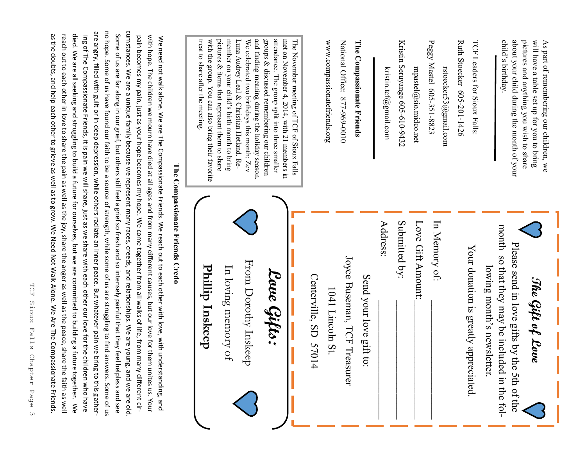| bain becomes my pain, just as your hope becomes my hope. We come together from all walks of life, from many different cir-<br>virth doof ar the similation were died as a graded and freed and the similation thangler and the died and the similation of the similation of the condit condit condit from the condit condition of the similation of the simi<br>We need note. We are The Compassionate triends on the each out to each out to each out to each out to be also the The Compassion of the We are The Compassion of the We are the Compassion of the We are the Compassion of the |                                                                                                                                              |
|------------------------------------------------------------------------------------------------------------------------------------------------------------------------------------------------------------------------------------------------------------------------------------------------------------------------------------------------------------------------------------------------------------------------------------------------------------------------------------------------------------------------------------------------------------------------------------------------|----------------------------------------------------------------------------------------------------------------------------------------------|
| The Compassionate Friends Credo                                                                                                                                                                                                                                                                                                                                                                                                                                                                                                                                                                |                                                                                                                                              |
| Phillip Inskeep                                                                                                                                                                                                                                                                                                                                                                                                                                                                                                                                                                                | treat to share after the meeting<br>with the group. You can also bring their favorite                                                        |
| In loving memory of                                                                                                                                                                                                                                                                                                                                                                                                                                                                                                                                                                            | pictures & items that represent them to share<br>member on your child's birth month to bring                                                 |
| From Dorothy Inskeep                                                                                                                                                                                                                                                                                                                                                                                                                                                                                                                                                                           | and finding meaning during the holiday season<br>Luna Audrey Leal & Christian Hetland. Re-<br>We celebrated two birthdays this month: Zev    |
| Lave Gifts:                                                                                                                                                                                                                                                                                                                                                                                                                                                                                                                                                                                    | attendance. The group split into three smaller<br>met on November 4, 2014, with 21 members in<br>groups & discussed remembering our children |
|                                                                                                                                                                                                                                                                                                                                                                                                                                                                                                                                                                                                | The November meeting of TCF of Sioux Falls                                                                                                   |
| Centerville, SD 57014                                                                                                                                                                                                                                                                                                                                                                                                                                                                                                                                                                          |                                                                                                                                              |
| 1041 Lincoln St.                                                                                                                                                                                                                                                                                                                                                                                                                                                                                                                                                                               | www.compassionatefriends.org                                                                                                                 |
| Joyce Buseman, TCF Treasurer                                                                                                                                                                                                                                                                                                                                                                                                                                                                                                                                                                   | National Office: 877-969-0010                                                                                                                |
| Send your love gift to:                                                                                                                                                                                                                                                                                                                                                                                                                                                                                                                                                                        | The Compassionate Friends                                                                                                                    |
| Address:                                                                                                                                                                                                                                                                                                                                                                                                                                                                                                                                                                                       | kristin.tcf@gmail.com                                                                                                                        |
| Submitted by:                                                                                                                                                                                                                                                                                                                                                                                                                                                                                                                                                                                  | Kristin Seruyange 605-610-9432                                                                                                               |
| Love Gift Amount:                                                                                                                                                                                                                                                                                                                                                                                                                                                                                                                                                                              | $m$ pastel $@$ sio.midco.net                                                                                                                 |
| In Memory of:                                                                                                                                                                                                                                                                                                                                                                                                                                                                                                                                                                                  | Peggy Mastel 605-351-8823<br>rstoecker53@gmail.com                                                                                           |
| Your donation is greatly appreciated.                                                                                                                                                                                                                                                                                                                                                                                                                                                                                                                                                          | Ruth Stoecker 605-201-1426<br>TCF Leaders for Sioux Falls:                                                                                   |
| lowing month's newsletter                                                                                                                                                                                                                                                                                                                                                                                                                                                                                                                                                                      |                                                                                                                                              |
| month so that they may be included in the fol-<br>Please send in love gifts by the 5th of the                                                                                                                                                                                                                                                                                                                                                                                                                                                                                                  | child's birthday<br>about your child during the month of your                                                                                |
| The Gift of Love                                                                                                                                                                                                                                                                                                                                                                                                                                                                                                                                                                               | As part of remembering our children, we<br>pictures and anything you wish to share<br>will have a table set up for you to bring              |

cumstances. We are a unique family because we represent many races, creeds, and relationships. We are young, and we are old are angry, filled with guilt or in deep depression, while others radiate an inner peace. But whatever pain we bring to this gatherno hope. Some of us have found our faith to be a source of strength, while some of us are struggling to find answers. Some of us cumstances. We are a unique family because we represent many races, creeds, and relationships. We are young, and we are old. are angry, filled with guilt or in deep depression, while others radiate an inner peace. But whatever pain we bring to this gatherno hope. Some of us have found our faith to be a source of strength, while some of us are struggling to find answers. Some of as the doubts, and help each other to grieve as well as to grow. We Need Not Walk Alone. We Are The Compassionate Friends. reach out to each other in love to share the pain as well as the joy, share the anger as well as the peace, share the faith as well died. We are all seeking and struggling to build a future for ourselves, but we are committed to building a future together. We Some of us are far along in our grief, but others still feel a grief so fresh and so intensely painful that they feel helpless and see рg<br>О  $\leq$ as the doubts, and help each other to grieve as well as to grow. We Need Not Walk Alone. We Are The Compassionate Friends. reach out to each other in love to share the pain as well as the joy, share the anger as well as the peace, share the faith as well died. We are all seeking and struggling to build a future for ourselves, but we are committed to building a future together. ing of The Compassionate Friends, it is pain we will share, just as we share with each other our love for the children who have Some of us are far along in our grief, but others still feel a grief so fresh and so intensely painful that they feel helpless and see  $\leq$ with hope. The children we mourn have died at all ages and from many different causes, but on the died at all ages using the move for the move for the move for the many different causes, but on the move for the move for th ing Of The Compassionate Friends, it is pain we will share, just as we share with each other our love for the children who have  $\kappa$ pain becomes my pain, just as your hope becomes my hope. We come together from all walks of life, from many different cir-We need not walk alone. We are The Compassionate Friends. We reach out to each other with love, with understanding, and ent cir-1g, and IS. Your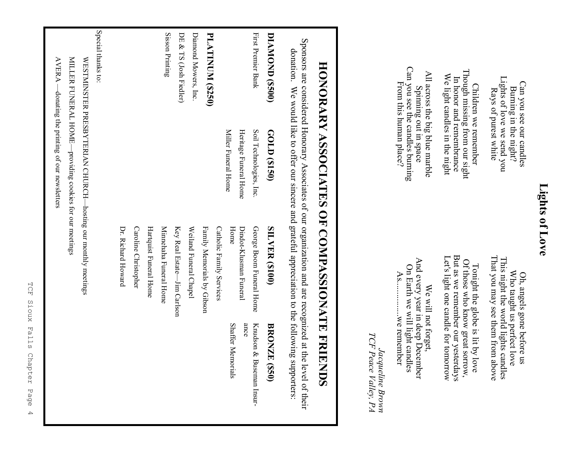Burning in the night?<br>Lights of love we send you Lights of love we send you Can you see our candles Can you see our candles Burning in the night? Rays of purest white Rays of purest white

Though missing from our sight<br>In honor and remembrance Though missing from our sight We light candles in the night We light candles in the night In honor and remembrance Children we remember Children we remember

Can you see the candles burning Can you see the candles burning All across the big blue marble All across the big blue marble From this human place? From this human place? Spinning out in space Spinning out in space

> That you may see them from above That you may see them from above Who taught us perfect love<br>This night the world lights candles This night the world lights candles Who taught us perfect love Oh, angels gone before us Oh, angels gone before us

But as we remember our yesterdays But as we remember our yesterdays Let's light one candle for tomorrow Let's light one candle for tomorrow Tonight the globe is lit by love<br>Of those who know great sorrow, Of those who know great sorrow, Tonight the globe is lit by love

And every year in deep December And every year in deep December On Earth we will light candles On Earth we will light candles  $As........$ As................we remember We will not forget, We will not forget, .... we remember

TCF Peace Valley, PA *TCF Peace Valley, PA* Jacqueline Brown *Jacqueline Brown*

# **HONORARY ASSOCIATES OF COMPASSIONATE FRIENDS HONORARY ASSOCIATES OF COMPASSIONATE FRIENDS**

Sponsors are considered Honorary Associates of our organization and are recognized at the level of their Sponsors are considered Honorary Associates of our organization and are recognized at the level of their domains supportances of the collection of the contraction of the collection of the collect of the collection. donation. We would like to offer our sincere and grateful appreciation to the following supporters:

| DIAMOND (\$500)         | GOLD (\$150)                                                 | <b>SILVER (\$100)</b>       | <b>BRONZE</b><br>(058)      |
|-------------------------|--------------------------------------------------------------|-----------------------------|-----------------------------|
| First Premier Bank      | Soil Technologies, Inc.                                      | George Boom Funeral Home    | Knudson &<br>Buseman Insur- |
|                         | Heritage Funeral Home                                        | Dindot-Klusman Funeral      | ance                        |
|                         | Miller Funeral Home                                          | Home                        | <b>Shaffer Memorials</b>    |
|                         |                                                              | Catholic Family Services    |                             |
| <b>PLATINUM (\$250)</b> |                                                              | Family Memorials by Gibson  |                             |
| Diamond Mowers, Inc.    |                                                              | Weiland Funeral Chapel      |                             |
| DE & TS (Josh Fiedler)  |                                                              | Key Real Estate-Jim Carlson |                             |
| Sisson Printing         |                                                              | Minnehaha Funeral Home      |                             |
|                         |                                                              | Hartquist Funeral Home      |                             |
|                         |                                                              | Caroline Christopher        |                             |
|                         |                                                              | Dr. Richard Howard          |                             |
| Special thanks to:      |                                                              |                             |                             |
|                         | WESTMINSTER PRESBYTERIAN CHURCH-hosting our monthly meetings |                             |                             |
|                         | MILLER FUNERAL HOME-providing cookies for our meetings       |                             |                             |

AVERA —donating the printing of our newsletters

 $\text{AVERA}$  —donating the printing of our newsletters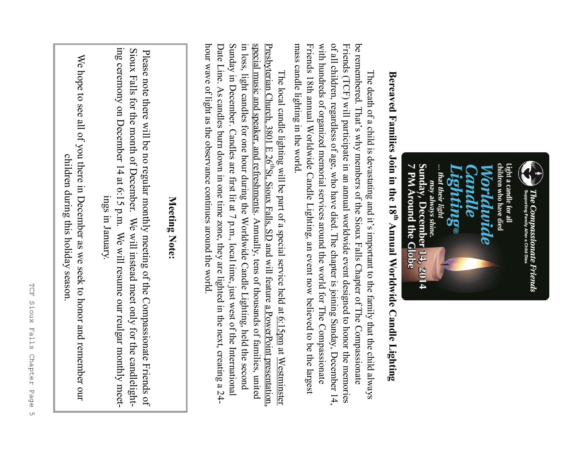

# **Bereaved Families Join in the 18**Bereaved Families Join in the 18<sup>th</sup> Annual Worldwide Candle Lighting **Annual Worldwide Candle Lighting**

of all children, regardless of age, who have died. The chapter is joining Sunday, December 14, be remembered. That's why members of the Sioux Falls Chapter of The Compassionate mass candle lighting in the world. mass candle lighting in the world. Friends 18th annual Worldwide Candle Lighting, an event now believed to be the largest Friends 18th annual Worldwide Candle Lighting, an event now believed to be the largest with hundreds of organized memorial services around the world for The Compassionate with hundreds of organized memorial services around the world for The Compassionate Friends (TCF) will participate in an annual worldwide event designed to honor the memories Friends (TCF) will participate in an annual worldwide event designed to honor the memories be remembered. That's why members of the Sioux Falls Chapter of The Compassionate of all children, regardless of age, who have died. The chapter is joining Sunday, December 14, The death of a child is devastating and it's important to the family that the child always The death of a child is devastating and it's important to the family that the child always

special music and speaker, and refreshments. Annually, tens of thousands of families, united hour wave of light as the observance continues around the world. - hour wave of light as the observance continues around the world. Date Line. As candles burn down in one time zone, they are lighted in the next, creating a  $24$ -Date Line. As candles burn down in one time zone, they are lighted in the next, creating a  $24$ Sunday in December. Candles are first lit at  $7$  p.m., local time, just west of the International in loss, light candles for one hour during the Worldwide Candle Lighting, held the second The local candle lighting will be part of a special service held at <u>6:15 pm</u> at <u>Westminster</u><br>Presbyterian Church, 3801 E 26<sup>th</sup>St, Sioux Falls, SD and will feature <u>a PowerPoint presentation.</u> Presbyterian Church, 3801 E 26Sunday in December. Candles are first lit at  $7$  p.m., local time, just west of the International in loss, light candles for one hour during the Worldwide Candle Lighting, held the second special music and speaker, The local candle lighting will be part of a special service held at  $\underline{6:15pm}$ and refreshments. Annually, tens of thousands of families, united St, Sioux Falls, SD and will feature a PowerPoint presentation, at Westminster

#### Meeting Note: **Meeting Note:**

ing ceremony on December 14 at 6:15 p.m. We will resume our reulgar monthly meeting ceremony on December 14 at 6:15 p.m. We will resume our reulgar monthly meet-Sioux Falls for the month of December. We will instead meet only for the candlelight-Sioux Falls for the month of December. We will instead meet only for the candlelight-Please note there will be no regular monthly meeting of the Compassionate Friends of Please note there will be no regular monthly meeting of the Compassionate Friends of ings in January. ings in January.

We hope to see all of you there in December as we seek to honor and remember our We hope to see all of you there in December as we seek to honor and remember our children during this holiday season. children during this holiday season.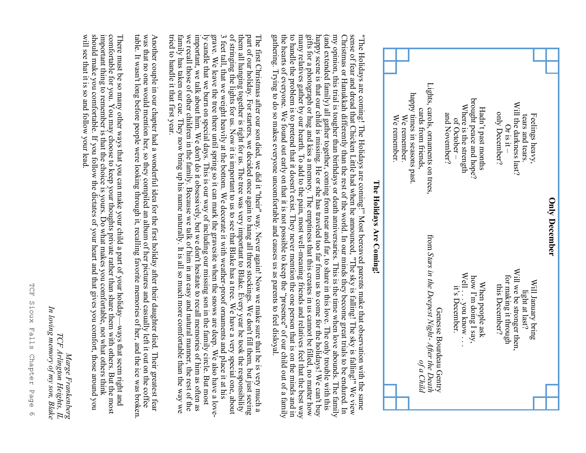

many relatives gather by our hearth. To add to the pain, most well-meaning friends and relatives feel that the best way to handle the problem is to pretend that it doesn't exist. They never mention the one person that is my opinion, this trial is tougher than birthdays or death anniversaries. This is the time when love abounds. The family sense of fear and dread that Chicken Little had when he announced, "The sky is falling! The sky is falling!" We view gifts for a photograph or hug and kiss a memory. The emptiness that this creates in us cannot be filled, no matter how (and extended family) all gather together, coming from near and far, to share in this love. The only trouble with this happy scene is that our child is missing. He or she has traveled too far from us to come for the holida Christmas or Hanukkah differently than the rest of the world. In our minds they become great trials to be endured. In "The Holidays are coming! The Holidays are coming!" Most bereaved parents make that observation with the same the hearts of everyone. We found out early on that it is not possible to keep the to handle the problem is to pretend that it doesn't exist. They never mention the one person that is on the minds and in sense of fear and dread that Chicken Little had when he announced, "The sky is falling! The sky is falling!" We view Christmas or Hanukkah differently than the rest of the world. In our minds they become great trials to be many relatives gather by our hearth. To add to the pain, most well gifts for a photograph or hug and kiss a memory. The emptiness that this creates in us cannot be filled, no matter how happy scene is that our child is missing. He or she has traveled too far from us to come for the holidays! We can't buy (and extended family) all gather together, coming from near and far, to share in this love. The only trouble with this my opinion, this trial is tougher than birthdays or death anniversaries. This is the time when love abounds. The family Christmas or Hanukkah differently than the rest of the world. In our minds they become great trials to be endured. In "The Holidays are coming! The Holidays are coming!" Most bereaved parents make that observation with the same "presence" of our child out of a family

gathering. Trying to do so makes everyone uncomfortable and causes us as parents to feel disloyal.

of stringing the lights for us. Now it is important to us to see that Blake has a tree. We have a very special one, about them all hanging together is right for us. The tree was very important to Blake. Every year he took the responsibility The first Christmas after our son died, we did it "their" way. Never again! Now we make sure that he is very much a<br>part of our holiday. For starters, we decided once again to hang all three stockings. We don't fill them, grave. We leave the tree there unitl spring so it can mark the gravesite when the snows are deep. We also have a love-<br>by candle that we burn on special days. This is our way of including our missing son in the family circ 3 feet tall, that we weight heavily at the bottom. We decorate it with weather-proof ornaments and place it at his part of our holiday. For starters, we decided once again to hang all three stockings. We don't fill them, but just seeing tried to handle it that first year. family has taken our cue. They now bring up his name naturally. It is all so much more comfortable than the way we we recall those of other children in the family. Because we talk of him in an easy and natural manner, the rest of the important, we talk about him. We don't do it obsessively, but we don't hesitate to recall memories of him as often as ly candle that we burn on special days. This is our way of including our missing son in the family circle. But most 3 feet tall, that we weight heavily at the bottom. We decorate it with weather gathering. Trying to do so makes everyone uncomfortable and causes us as parents to feel disloyal.<br>The first Christmas after our son died, we did it "their" way. Never again! Now we make sure that he is very mud<br>part of ou of stringing the lights for us. Now it is important to us to see that Blake has a tree. We have a very special one, about them all hanging together is right for us. The tree was very important to Blake. Every year he took the responsibility The first Christmas after our son died, we did it "their" way. Never again! Now we make sure that he is very much a

table. It wasn't long before people were looking through it, recalling favorite memories of her, and the ice was broken. was that no one would mention her, so they compiled an album of her pictures and casually left it out on the coffee Another couple in our chapter had a wonderful idea for the first holiday after their daughter died. Their greatest fear

important thing to remember is that the choice is yours. Do what makes you comfortable, not what others think<br>should make you comfortable. If you follow the dictates of your heart and that gives you comfort, those around y comfortable for you. You may choose to keep your thoughts private rather than share them with others. But the most will see that it is so and follow your lead. should make you comfortable. If you follow the dictates of your heart and that gives you comfort, those around you important thing to remember is that the choice is yours. Do what makes you comfortable, not what others think comfortable for you. You may choose to keep your thoughts private rather than share them with others. But the most There must be so many other ways that you can make your child a part of your holiday

*In loving memory of my son, Blake*

TCF Arlington Heights,

In loving memory of my son, Blake

*Marge Frankenberg TCF Arlington Heights, IL*

Marge Frankenberg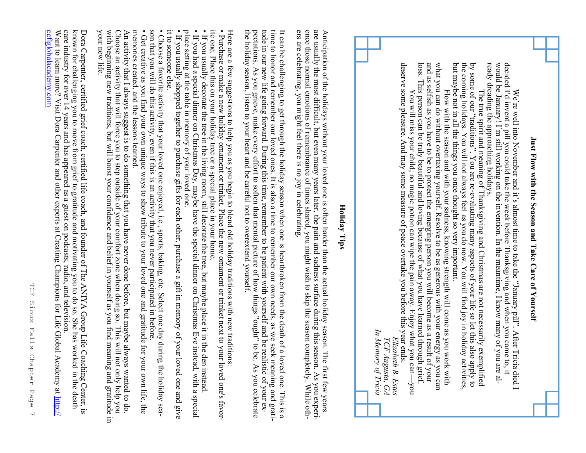## Just Flow with the Season and Take Care of Yourself **Just Flow with the Season and Take Care of Yourself**

ready dreading the approaching holidays. would be January! I'm still working on the invention. In the meantime, I know many of you are aldecided I'd invent a pill you could take the week before Thanksgiving and when you came to, it ready dreading the approaching holidays. would be January! I'm still working on the invention. In the meantime, I know many of you are aldecided I'd invent a pill you could take the week before Thanksgiving and when you came to, it We're well into November and it's almost time to take the "January pill". After Tricia died I We're well into November and it's almost time to take the "January pill". After Tricia died I

but maybe not in all the things you once thought so very important. the coming holidays. You will not always feel as you do now. You will find joy in holiday activities, The true spirit and meaning of Thanksgiving and Christmas are not necessarily exemplified by some of our "traditions". You are re-evaluating many aspects of your life so let this also apply to by the conditions". You are but maybe not in all the things you once thought so very important. the coming holidays. You will not always feel as you do now. You will find joy in holiday activities, by some of our "traditions". You are re The true spirit and meaning of Thanksgiving and Christmas are not necessarily exemplified evaluating many aspects of your life so let this also apply to

loss. This person can be truly beautiful and loving because of what you have learned through grief. and as selfish as you have to be to protect the emerging person you will become as a result of your what you can do without overtaxing yourself. Resolve to be as generous with your energy as you can deserve some pleasure. And may some measure of peace overtake you before this year ends. deserve some pleasure. And may some measure of peace overtake you before this year ends. loss. This person can be truly beautiful and loving because of what you have learned through grief. and as selfish as you have to be to protect the emerging person you will become as a result of your what you can do without overtaxing yourself. Resolve to be as generous with your energy as you can You will miss your child; no magic potion can wipe the pain away. Enjoy what you can—you You will miss your child; no magic potion can wipe the pain away. Enjoy what you can—you Flow with the season and with your sadness, knowing strength will come as you work with Flow with the season and with your sadness, knowing strength will come as you work with

In Memory of Tricia *In Memory of Tricia*TCF Augusta, GA *Elizabeth B. Estes TCF Augusta, GA* Elizabeth B. Estes

#### **Holiday Tips Holiday Tips**

ence those normal emotions of remembrance of times shared, you might wish to skip the season completely. While othare usually the most difficult, but even many years later, the pain and sadness surface during this season. As you experiers are celebrating, you might feel there is no joy in celebrating. Anticipation of the holidays without your loved one is often harder than the actual holiday season. The first few years ers are celebrating, you might feel there is no joy in celebrating. ence those normal emotions of remembrance of times shared, you might wish to skip the season completely. While othare usually the most difficult, but even many years later, the pain and sadness surface during this season. As you experi-Anticipation of the holiday season. The holiday season hander than the actual holiday season. The first few years

pectations. As you grieve, make every effort to soften that mental picture of how things "ought" to be. As you celebrate<br>the holiday season, listen to your heart and be careful not to overextend yourself. tude in our new life going forward. During this time, remember to be patient with yourself and be realistic of your expectations. As you grieve, make every effort to soften that mental picture of how things "ought" to be. As you celebrate It can be challenging to get through the holiday season when one is heartbroken from the death of a loved one. This is a<br>time to honor and remember our loved ones. It is also a time to remember our own needs, as we seek me the holiday season, listen to your heart and be careful not to overextend yourself. tude in our new life going forward. During this time, remember to be patient with yourself and be realistic of your extime to honor and remember our loved ones. It is also a time to remember our own needs, as we seek meaning and grati-It can be challenging to get through the holiday season when one is heartbroken from the death of a loved one. This is a

ite one. Place this on your holiday tree or a special place in your home. • Purchase or make a new holiday ornament or trinket. Place the new ornament or trinket next to your loved one's favor-Here are a few suggestions to help you as you begin to blend old holiday traditions with new traditions ite one. Place this on your holiday tree or a special place in your home. Here are a few suggestions to help you as you begin to blend old holiday traditions with new traditions: Purchase or make a new holiday ornament or trinket. Place the new ornament or trinket next to your loved one's favor-

. If you had a special dinner on Christmas Day, maybe have the special dinner on Christmas Eve instead, with a special • If you usually decorate the tree in the living room, still decorate the tree, but maybe place it in the den instead • If you had a special dinner on Christmas Day, maybe have the special dinner on Christmas Eve instead, with a special If you usually decorate the tree in the living room, still decorate the tree, but maybe place it in the den instead.

place setting at the table in memory of your loved one. place setting at the table in memory of your loved one.

it to someone else. • If you usually shopped together to purchase gifts for each other, purchase a gift in memory of your loved one and give it to someone else. If you usually shopped together to purchase gifts for each other, purchase a gift in memory of your loved one and give

son that you will do this activity, even if this is an activity that you never participated in before • Choose a favorite activity that your loved one enjoyed, i.e., sports, baking, etc. Select one day during the holiday season that you will do this activity, even if this is an activity that you never participated in before. Choose a favorite activity that your loved one enjoyed, i.e., sports, baking, etc. Select one day during the holiday sea-

memories created, and the lessons learned. • Get creative as you find your own unique ways to show tribute to your loved one and gratitude for your own life, the memories created, and the lessons learned. Get creative as you find your own unique ways to show tribute to your loved one and gratitude for your own life, the

your new life. Choose an activity that will force you to step outside of your comfort zone when doing so. This will not only help you<br>with beginning new traditions, but will boost your confidence and belief in yourself as you find meanin An activity that I always suggest is to do something that you have never done before, but maybe always wanted to do your new life. with beginning new traditions, but will boost your confidence and belief in yourself as you find meaning and gratitude in Choose an activity that will force you to step outside of your comfort zone when doing so. This will not only help you An activity that I always suggest is to do something that you have never done before, but maybe always wanted to do.

known for challenging you to move from grief to gratitude and motivating you to do so. She has worked in the death care industry for over 14 years and has appeared as a guest on podcasts, radio, and television.<br>Want to le Dora Carpenter, certified grief coach, certified life coach, and founder of The ANIYA Group Life Coaching Center, is Want to learn more? Visit Dora Carpenter and other experts at Creating Champions for Life Global Academy at care industry for over 14 years and has appeared as a guest on podcasts, radio, and television. known for challenging you to move from grief to gratitude and motivating you to do so. She has worked in the death Dora Carpenter, certified grief coach, certified life coach, and founder of The ANIYA Group Life Coaching Center, is

[ccflglobalacademy.com](http://ccflglobalacademy.com/?ref=41)

<u>cctlglobalacademy.com</u>